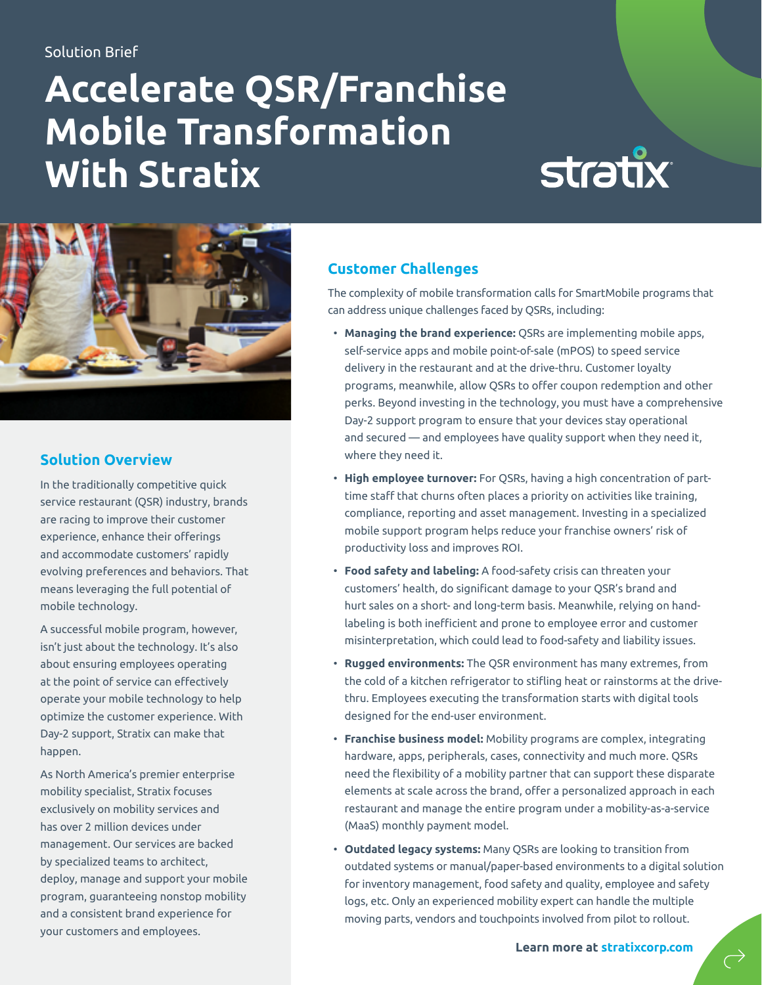#### Solution Brief

## **Accelerate QSR/Franchise Mobile Transformation With Stratix**

# stratix



#### **Solution Overview**

In the traditionally competitive quick service restaurant (QSR) industry, brands are racing to improve their customer experience, enhance their offerings and accommodate customers' rapidly evolving preferences and behaviors. That means leveraging the full potential of mobile technology.

A successful mobile program, however, isn't just about the technology. It's also about ensuring employees operating at the point of service can effectively operate your mobile technology to help optimize the customer experience. With Day-2 support, Stratix can make that happen.

As North America's premier enterprise mobility specialist, Stratix focuses exclusively on mobility services and has over 2 million devices under management. Our services are backed by specialized teams to architect, deploy, manage and support your mobile program, guaranteeing nonstop mobility and a consistent brand experience for your customers and employees.

#### **Customer Challenges**

The complexity of mobile transformation calls for SmartMobile programs that can address unique challenges faced by QSRs, including:

- **Managing the brand experience:** QSRs are implementing mobile apps, self-service apps and mobile point-of-sale (mPOS) to speed service delivery in the restaurant and at the drive-thru. Customer loyalty programs, meanwhile, allow QSRs to offer coupon redemption and other perks. Beyond investing in the technology, you must have a comprehensive Day-2 support program to ensure that your devices stay operational and secured — and employees have quality support when they need it, where they need it.
- **High employee turnover:** For QSRs, having a high concentration of parttime staff that churns often places a priority on activities like training, compliance, reporting and asset management. Investing in a specialized mobile support program helps reduce your franchise owners' risk of productivity loss and improves ROI.
- **Food safety and labeling:** A food-safety crisis can threaten your customers' health, do significant damage to your QSR's brand and hurt sales on a short- and long-term basis. Meanwhile, relying on handlabeling is both inefficient and prone to employee error and customer misinterpretation, which could lead to food-safety and liability issues.
- **Rugged environments:** The QSR environment has many extremes, from the cold of a kitchen refrigerator to stifling heat or rainstorms at the drivethru. Employees executing the transformation starts with digital tools designed for the end-user environment.
- **Franchise business model:** Mobility programs are complex, integrating hardware, apps, peripherals, cases, connectivity and much more. QSRs need the flexibility of a mobility partner that can support these disparate elements at scale across the brand, offer a personalized approach in each restaurant and manage the entire program under a mobility-as-a-service (MaaS) monthly payment model.
- **Outdated legacy systems:** Many QSRs are looking to transition from outdated systems or manual/paper-based environments to a digital solution for inventory management, food safety and quality, employee and safety logs, etc. Only an experienced mobility expert can handle the multiple moving parts, vendors and touchpoints involved from pilot to rollout.